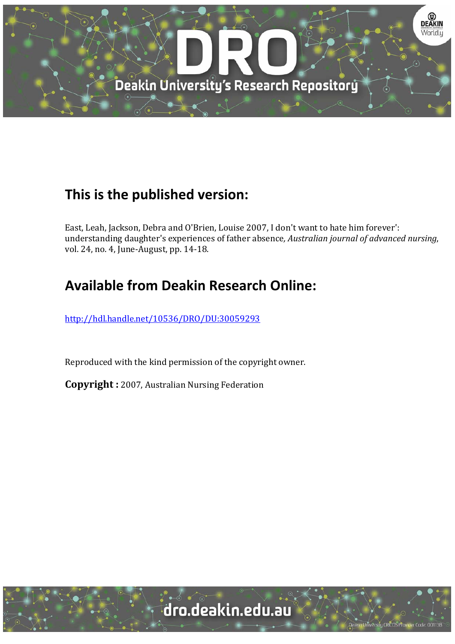

## **This is the published version:**

East, Leah, Jackson, Debra and O'Brien, Louise 2007, I don't want to hate him forever': understanding daughter's experiences of father absence*, Australian journal of advanced nursing*, vol. 24, no. 4, June-August, pp. 14-18.

# **Available from Deakin Research Online:**

http://hdl.handle.net/10536/DRO/DU:30059293

Reproduced with the kind permission of the copyright owner.

**Copyright** : 2007, Australian Nursing Federation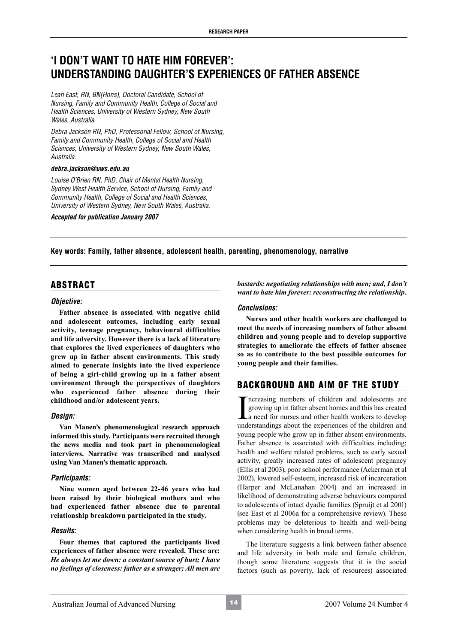## **'I DON'T WANT TO HATE HIM FOREVER': UNDERSTANDING DAUGHTER'S EXPERIENCES OF FATHER ABSENCE**

*Leah East, RN, BN(Hons), Doctoral Candidate, School of Nursing, Family and Community Health, College of Social and Health Sciences, University of Western Sydney, New South Wales, Australia.*

*Debra Jackson RN, PhD, Professorial Fellow, School of Nursing, Family and Community Health, College of Social and Health Sciences, University of Western Sydney, New South Wales, Australia.*

#### *debra.jackson@uws.edu.au*

*Louise O'Brien RN, PhD, Chair of Mental Health Nursing, Sydney West Health Service, School of Nursing, Family and Community Health, College of Social and Health Sciences, University of Western Sydney, New South Wales, Australia.*

*Accepted for publication January 2007*

**Key words: Family, father absence, adolescent health, parenting, phenomenology, narrative**

## ABSTRACT

## *Objective:*

**Father absence is associated with negative child and adolescent outcomes, including early sexual activity, teenage pregnancy, behavioural difficulties and life adversity. However there is a lack of literature that explores the lived experiences of daughters who grew up in father absent environments. This study aimed to generate insights into the lived experience of being a girl-child growing up in a father absent environment through the perspectives of daughters who experienced father absence during their childhood and/or adolescent years.**

## *Design:*

**Van Manen's phenomenological research approach informed this study. Participants were recruited through the news media and took part in phenomenological interviews. Narrative was transcribed and analysed using Van Manen's thematic approach.**

## *Participants:*

**Nine women aged between 22-46 years who had been raised by their biological mothers and who had experienced father absence due to parental relationship breakdown participated in the study.**

## *Results:*

**Four themes that captured the participants lived experiences of father absence were revealed. These are:**  *He always let me down: a constant source of hurt; I have no feelings of closeness: father as a stranger; All men are* 

*bastards: negotiating relationships with men; and, I don't want to hate him forever: reconstructing the relationship.*

## *Conclusions:*

**Nurses and other health workers are challenged to meet the needs of increasing numbers of father absent children and young people and to develop supportive strategies to ameliorate the effects of father absence so as to contribute to the best possible outcomes for young people and their families.**

## BACKGROUND AND AIM OF THE STUDY

Increasing numbers of children and adolescents are<br>growing up in father absent homes and this has created<br>a need for nurses and other health workers to develop<br>understandings about the experiences of the children and ncreasing numbers of children and adolescents are growing up in father absent homes and this has created a need for nurses and other health workers to develop young people who grow up in father absent environments. Father absence is associated with difficulties including; health and welfare related problems, such as early sexual activity, greatly increased rates of adolescent pregnancy (Ellis et al 2003), poor school performance (Ackerman et al 2002), lowered self-esteem, increased risk of incarceration (Harper and McLanahan 2004) and an increased in likelihood of demonstrating adverse behaviours compared to adolescents of intact dyadic families (Spruijt et al 2001) (see East et al 2006a for a comprehensive review). These problems may be deleterious to health and well-being when considering health in broad terms.

The literature suggests a link between father absence and life adversity in both male and female children, though some literature suggests that it is the social factors (such as poverty, lack of resources) associated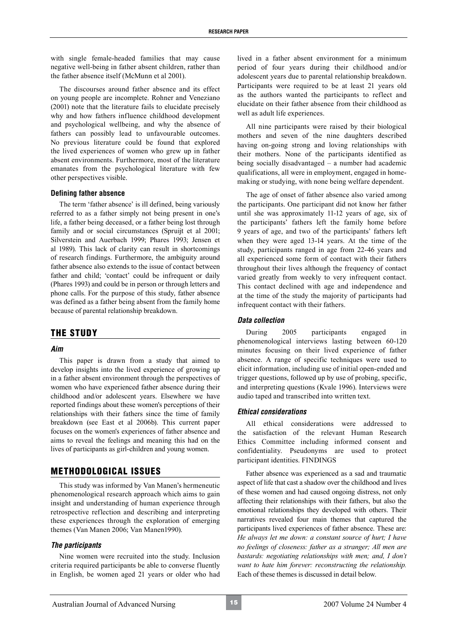with single female-headed families that may cause negative well-being in father absent children, rather than the father absence itself (McMunn et al 2001).

The discourses around father absence and its effect on young people are incomplete. Rohner and Veneziano (2001) note that the literature fails to elucidate precisely why and how fathers influence childhood development and psychological wellbeing, and why the absence of fathers can possibly lead to unfavourable outcomes. No previous literature could be found that explored the lived experiences of women who grew up in father absent environments. Furthermore, most of the literature emanates from the psychological literature with few other perspectives visible.

### **Defining father absence**

The term 'father absence' is ill defined, being variously referred to as a father simply not being present in one's life, a father being deceased, or a father being lost through family and or social circumstances (Spruijt et al 2001; Silverstein and Auerbach 1999; Phares 1993; Jensen et al 1989). This lack of clarity can result in shortcomings of research findings. Furthermore, the ambiguity around father absence also extends to the issue of contact between father and child; 'contact' could be infrequent or daily (Phares 1993) and could be in person or through letters and phone calls. For the purpose of this study, father absence was defined as a father being absent from the family home because of parental relationship breakdown.

## THE STUDY

## *Aim*

This paper is drawn from a study that aimed to develop insights into the lived experience of growing up in a father absent environment through the perspectives of women who have experienced father absence during their childhood and/or adolescent years. Elsewhere we have reported findings about these women's perceptions of their relationships with their fathers since the time of family breakdown (see East et al 2006b). This current paper focuses on the women's experiences of father absence and aims to reveal the feelings and meaning this had on the lives of participants as girl-children and young women.

## METHODOLOGICAL ISSUES

This study was informed by Van Manen's hermeneutic phenomenological research approach which aims to gain insight and understanding of human experience through retrospective reflection and describing and interpreting these experiences through the exploration of emerging themes (Van Manen 2006; Van Manen1990).

## *The participants*

Nine women were recruited into the study. Inclusion criteria required participants be able to converse fluently in English, be women aged 21 years or older who had lived in a father absent environment for a minimum period of four years during their childhood and/or adolescent years due to parental relationship breakdown. Participants were required to be at least 21 years old as the authors wanted the participants to reflect and elucidate on their father absence from their childhood as well as adult life experiences.

All nine participants were raised by their biological mothers and seven of the nine daughters described having on-going strong and loving relationships with their mothers. None of the participants identified as being socially disadvantaged – a number had academic qualifications, all were in employment, engaged in homemaking or studying, with none being welfare dependent.

The age of onset of father absence also varied among the participants. One participant did not know her father until she was approximately 11-12 years of age, six of the participants' fathers left the family home before 9 years of age, and two of the participants' fathers left when they were aged 13-14 years. At the time of the study, participants ranged in age from 22-46 years and all experienced some form of contact with their fathers throughout their lives although the frequency of contact varied greatly from weekly to very infrequent contact. This contact declined with age and independence and at the time of the study the majority of participants had infrequent contact with their fathers.

## *Data collection*

During 2005 participants engaged in phenomenological interviews lasting between 60-120 minutes focusing on their lived experience of father absence. A range of specific techniques were used to elicit information, including use of initial open-ended and trigger questions, followed up by use of probing, specific, and interpreting questions (Kvale 1996). Interviews were audio taped and transcribed into written text.

#### *Ethical considerations*

All ethical considerations were addressed to the satisfaction of the relevant Human Research Ethics Committee including informed consent and confidentiality. Pseudonyms are used to protect participant identities. FINDINGS

Father absence was experienced as a sad and traumatic aspect of life that cast a shadow over the childhood and lives of these women and had caused ongoing distress, not only affecting their relationships with their fathers, but also the emotional relationships they developed with others. Their narratives revealed four main themes that captured the participants lived experiences of father absence. These are: *He always let me down: a constant source of hurt; I have no feelings of closeness: father as a stranger; All men are bastards: negotiating relationships with men; and, I don't want to hate him forever: reconstructing the relationship.*  Each of these themes is discussed in detail below.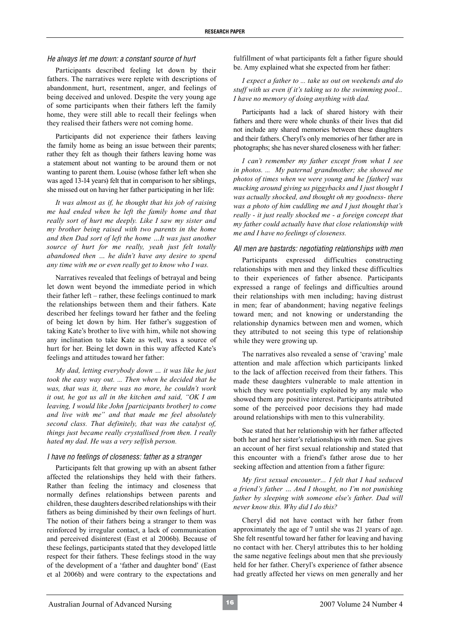#### *He always let me down: a constant source of hurt*

Participants described feeling let down by their fathers. The narratives were replete with descriptions of abandonment, hurt, resentment, anger, and feelings of being deceived and unloved. Despite the very young age of some participants when their fathers left the family home, they were still able to recall their feelings when they realised their fathers were not coming home.

Participants did not experience their fathers leaving the family home as being an issue between their parents; rather they felt as though their fathers leaving home was a statement about not wanting to be around them or not wanting to parent them. Louise (whose father left when she was aged 13-14 years) felt that in comparison to her siblings, she missed out on having her father participating in her life:

*It was almost as if, he thought that his job of raising me had ended when he left the family home and that really sort of hurt me deeply. Like I saw my sister and my brother being raised with two parents in the home and then Dad sort of left the home …It was just another source of hurt for me really, yeah just felt totally abandoned then … he didn't have any desire to spend any time with me or even really get to know who I was.*

Narratives revealed that feelings of betrayal and being let down went beyond the immediate period in which their father left – rather, these feelings continued to mark the relationships between them and their fathers. Kate described her feelings toward her father and the feeling of being let down by him. Her father's suggestion of taking Kate's brother to live with him, while not showing any inclination to take Kate as well, was a source of hurt for her. Being let down in this way affected Kate's feelings and attitudes toward her father:

*My dad, letting everybody down … it was like he just took the easy way out. ... Then when he decided that he was, that was it, there was no more, he couldn't work it out, he got us all in the kitchen and said, "OK I am leaving, I would like John [participants brother] to come and live with me" and that made me feel absolutely second class. That definitely, that was the catalyst of, things just became really crystallised from then. I really hated my dad. He was a very selfish person.*

#### *I have no feelings of closeness: father as a stranger*

Participants felt that growing up with an absent father affected the relationships they held with their fathers. Rather than feeling the intimacy and closeness that normally defines relationships between parents and children, these daughters described relationships with their fathers as being diminished by their own feelings of hurt. The notion of their fathers being a stranger to them was reinforced by irregular contact, a lack of communication and perceived disinterest (East et al 2006b). Because of these feelings, participants stated that they developed little respect for their fathers. These feelings stood in the way of the development of a 'father and daughter bond' (East et al 2006b) and were contrary to the expectations and

fulfillment of what participants felt a father figure should be. Amy explained what she expected from her father:

*I expect a father to ... take us out on weekends and do stuff with us even if it's taking us to the swimming pool... I have no memory of doing anything with dad.*

Participants had a lack of shared history with their fathers and there were whole chunks of their lives that did not include any shared memories between these daughters and their fathers. Cheryl's only memories of her father are in photographs; she has never shared closeness with her father:

*I can't remember my father except from what I see in photos. ... My paternal grandmother; she showed me photos of times when we were young and he [father] was mucking around giving us piggybacks and I just thought I was actually shocked, and thought oh my goodness- there was a photo of him cuddling me and I just thought that's really - it just really shocked me - a foreign concept that my father could actually have that close relationship with me and I have no feelings of closeness.*

### *All men are bastards: negotiating relationships with men*

Participants expressed difficulties constructing relationships with men and they linked these difficulties to their experiences of father absence. Participants expressed a range of feelings and difficulties around their relationships with men including; having distrust in men; fear of abandonment; having negative feelings toward men; and not knowing or understanding the relationship dynamics between men and women, which they attributed to not seeing this type of relationship while they were growing up.

The narratives also revealed a sense of 'craving' male attention and male affection which participants linked to the lack of affection received from their fathers. This made these daughters vulnerable to male attention in which they were potentially exploited by any male who showed them any positive interest. Participants attributed some of the perceived poor decisions they had made around relationships with men to this vulnerability.

Sue stated that her relationship with her father affected both her and her sister's relationships with men. Sue gives an account of her first sexual relationship and stated that this encounter with a friend's father arose due to her seeking affection and attention from a father figure:

*My first sexual encounter… I felt that I had seduced a friend's father … And I thought, no I'm not punishing father by sleeping with someone else's father. Dad will never know this. Why did I do this?*

Cheryl did not have contact with her father from approximately the age of 7 until she was 21 years of age. She felt resentful toward her father for leaving and having no contact with her. Cheryl attributes this to her holding the same negative feelings about men that she previously held for her father. Cheryl's experience of father absence had greatly affected her views on men generally and her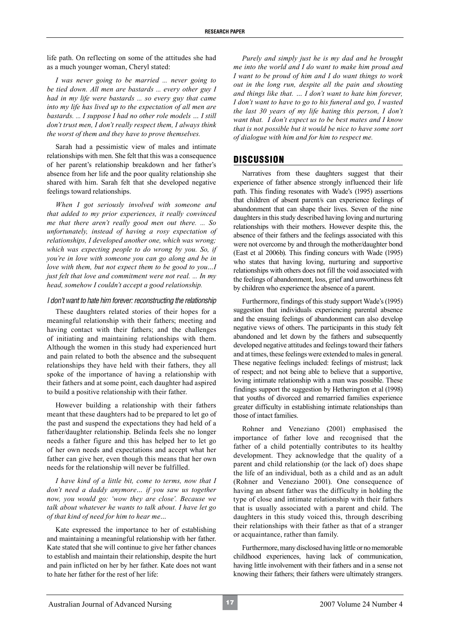life path. On reflecting on some of the attitudes she had as a much younger woman, Cheryl stated:

*I was never going to be married ... never going to be tied down. All men are bastards ... every other guy I had in my life were bastards ... so every guy that came into my life has lived up to the expectation of all men are bastards. ... I suppose I had no other role models … I still don't trust men, I don't really respect them, I always think the worst of them and they have to prove themselves.*

Sarah had a pessimistic view of males and intimate relationships with men. She felt that this was a consequence of her parent's relationship breakdown and her father's absence from her life and the poor quality relationship she shared with him. Sarah felt that she developed negative feelings toward relationships.

*When I got seriously involved with someone and that added to my prior experiences, it really convinced me that there aren't really good men out there. ... So unfortunately, instead of having a rosy expectation of relationships, I developed another one, which was wrong; which was expecting people to do wrong by you. So, if you're in love with someone you can go along and be in love with them, but not expect them to be good to you…I just felt that love and commitment were not real. ... In my head, somehow I couldn't accept a good relationship.*

## *I don't want to hate him forever: reconstructing the relationship*

These daughters related stories of their hopes for a meaningful relationship with their fathers; meeting and having contact with their fathers; and the challenges of initiating and maintaining relationships with them. Although the women in this study had experienced hurt and pain related to both the absence and the subsequent relationships they have held with their fathers, they all spoke of the importance of having a relationship with their fathers and at some point, each daughter had aspired to build a positive relationship with their father.

However building a relationship with their fathers meant that these daughters had to be prepared to let go of the past and suspend the expectations they had held of a father/daughter relationship. Belinda feels she no longer needs a father figure and this has helped her to let go of her own needs and expectations and accept what her father can give her, even though this means that her own needs for the relationship will never be fulfilled.

*I have kind of a little bit, come to terms, now that I don't need a daddy anymore… if you saw us together now, you would go: 'wow they are close'. Because we talk about whatever he wants to talk about. I have let go of that kind of need for him to hear me…*

Kate expressed the importance to her of establishing and maintaining a meaningful relationship with her father. Kate stated that she will continue to give her father chances to establish and maintain their relationship, despite the hurt and pain inflicted on her by her father. Kate does not want to hate her father for the rest of her life:

*Purely and simply just he is my dad and he brought me into the world and I do want to make him proud and I want to be proud of him and I do want things to work out in the long run, despite all the pain and shouting and things like that. … I don't want to hate him forever, I don't want to have to go to his funeral and go, I wasted the last 30 years of my life hating this person, I don't want that. I don't expect us to be best mates and I know that is not possible but it would be nice to have some sort of dialogue with him and for him to respect me.*

## **DISCUSSION**

Narratives from these daughters suggest that their experience of father absence strongly influenced their life path. This finding resonates with Wade's (1995) assertions that children of absent parent/s can experience feelings of abandonment that can shape their lives. Seven of the nine daughters in this study described having loving and nurturing relationships with their mothers. However despite this, the absence of their fathers and the feelings associated with this were not overcome by and through the mother/daughter bond (East et al 2006b). This finding concurs with Wade (1995) who states that having loving, nurturing and supportive relationships with others does not fill the void associated with the feelings of abandonment, loss, grief and unworthiness felt by children who experience the absence of a parent.

Furthermore, findings of this study support Wade's (1995) suggestion that individuals experiencing parental absence and the ensuing feelings of abandonment can also develop negative views of others. The participants in this study felt abandoned and let down by the fathers and subsequently developed negative attitudes and feelings toward their fathers and at times, these feelings were extended to males in general. These negative feelings included: feelings of mistrust; lack of respect; and not being able to believe that a supportive, loving intimate relationship with a man was possible. These findings support the suggestion by Hetherington et al (1998) that youths of divorced and remarried families experience greater difficulty in establishing intimate relationships than those of intact families.

Rohner and Veneziano (2001) emphasised the importance of father love and recognised that the father of a child potentially contributes to its healthy development. They acknowledge that the quality of a parent and child relationship (or the lack of) does shape the life of an individual, both as a child and as an adult (Rohner and Veneziano 2001). One consequence of having an absent father was the difficulty in holding the type of close and intimate relationship with their fathers that is usually associated with a parent and child. The daughters in this study voiced this, through describing their relationships with their father as that of a stranger or acquaintance, rather than family.

Furthermore, many disclosed having little or no memorable childhood experiences, having lack of communication, having little involvement with their fathers and in a sense not knowing their fathers; their fathers were ultimately strangers.